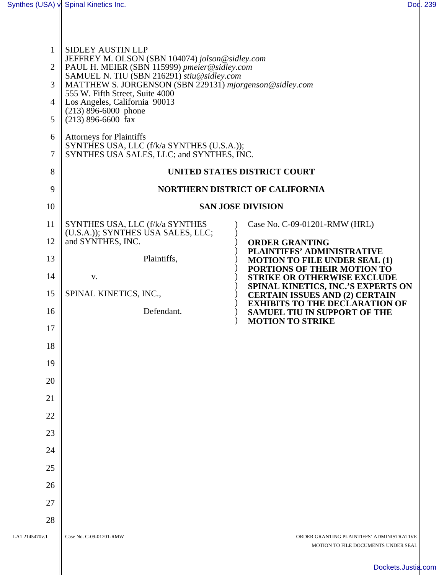| Synthes (USA) v                                         | Spinal Kinetics Inc.                                                                                                                                                                                                                                                                                                                                                                                                                                                                     | Dod. 239                                                                                                                                                                                          |  |
|---------------------------------------------------------|------------------------------------------------------------------------------------------------------------------------------------------------------------------------------------------------------------------------------------------------------------------------------------------------------------------------------------------------------------------------------------------------------------------------------------------------------------------------------------------|---------------------------------------------------------------------------------------------------------------------------------------------------------------------------------------------------|--|
|                                                         |                                                                                                                                                                                                                                                                                                                                                                                                                                                                                          |                                                                                                                                                                                                   |  |
| $\mathbf{1}$<br>$\overline{2}$<br>3<br>4<br>5<br>6<br>7 | <b>SIDLEY AUSTIN LLP</b><br>JEFFREY M. OLSON (SBN 104074) jolson@sidley.com<br>PAUL H. MEIER (SBN 115999) pmeier@sidley.com<br>SAMUEL N. TIU (SBN 216291) stiu@sidley.com<br>MATTHEW S. JORGENSON (SBN 229131) mjorgenson@sidley.com<br>555 W. Fifth Street, Suite 4000<br>Los Angeles, California 90013<br>$(213)$ 896-6000 phone<br>$(213)$ 896-6600 fax<br><b>Attorneys for Plaintiffs</b><br>SYNTHES USA, LLC (f/k/a SYNTHES (U.S.A.));<br>SYNTHES USA SALES, LLC; and SYNTHES, INC. |                                                                                                                                                                                                   |  |
| 8                                                       | UNITED STATES DISTRICT COURT                                                                                                                                                                                                                                                                                                                                                                                                                                                             |                                                                                                                                                                                                   |  |
| 9                                                       | <b>NORTHERN DISTRICT OF CALIFORNIA</b>                                                                                                                                                                                                                                                                                                                                                                                                                                                   |                                                                                                                                                                                                   |  |
| 10                                                      |                                                                                                                                                                                                                                                                                                                                                                                                                                                                                          | <b>SAN JOSE DIVISION</b>                                                                                                                                                                          |  |
| 11                                                      | SYNTHES USA, LLC (f/k/a SYNTHES<br>(U.S.A.)); SYNTHES USA SALES, LLC;                                                                                                                                                                                                                                                                                                                                                                                                                    | Case No. C-09-01201-RMW (HRL)                                                                                                                                                                     |  |
| 12                                                      | and SYNTHES, INC.                                                                                                                                                                                                                                                                                                                                                                                                                                                                        | <b>ORDER GRANTING</b><br>PLAINTIFFS' ADMINISTRATIVE                                                                                                                                               |  |
| 13                                                      | Plaintiffs,                                                                                                                                                                                                                                                                                                                                                                                                                                                                              | <b>MOTION TO FILE UNDER SEAL (1)</b><br>PORTIONS OF THEIR MOTION TO                                                                                                                               |  |
| 14<br>15                                                | V.                                                                                                                                                                                                                                                                                                                                                                                                                                                                                       | <b>STRIKE OR OTHERWISE EXCLUDE</b><br>SPINAL KINETICS, INC.'S EXPERTS ON<br><b>CERTAIN ISSUES AND (2) CERTAIN</b><br><b>EXHIBITS TO THE DECLARATION OF</b><br><b>SAMUEL TIU IN SUPPORT OF THE</b> |  |
| 16                                                      | SPINAL KINETICS, INC.,<br>Defendant.                                                                                                                                                                                                                                                                                                                                                                                                                                                     |                                                                                                                                                                                                   |  |
| 17                                                      |                                                                                                                                                                                                                                                                                                                                                                                                                                                                                          | <b>MOTION TO STRIKE</b>                                                                                                                                                                           |  |
| 18                                                      |                                                                                                                                                                                                                                                                                                                                                                                                                                                                                          |                                                                                                                                                                                                   |  |
| 19                                                      |                                                                                                                                                                                                                                                                                                                                                                                                                                                                                          |                                                                                                                                                                                                   |  |
| 20                                                      |                                                                                                                                                                                                                                                                                                                                                                                                                                                                                          |                                                                                                                                                                                                   |  |
| 21                                                      |                                                                                                                                                                                                                                                                                                                                                                                                                                                                                          |                                                                                                                                                                                                   |  |
| 22                                                      |                                                                                                                                                                                                                                                                                                                                                                                                                                                                                          |                                                                                                                                                                                                   |  |
| 23                                                      |                                                                                                                                                                                                                                                                                                                                                                                                                                                                                          |                                                                                                                                                                                                   |  |
| 24                                                      |                                                                                                                                                                                                                                                                                                                                                                                                                                                                                          |                                                                                                                                                                                                   |  |
| 25                                                      |                                                                                                                                                                                                                                                                                                                                                                                                                                                                                          |                                                                                                                                                                                                   |  |
| 26                                                      |                                                                                                                                                                                                                                                                                                                                                                                                                                                                                          |                                                                                                                                                                                                   |  |
| 27                                                      |                                                                                                                                                                                                                                                                                                                                                                                                                                                                                          |                                                                                                                                                                                                   |  |
| 28                                                      |                                                                                                                                                                                                                                                                                                                                                                                                                                                                                          |                                                                                                                                                                                                   |  |
| LA1 2145470v.1                                          | Case No. C-09-01201-RMW                                                                                                                                                                                                                                                                                                                                                                                                                                                                  | ORDER GRANTING PLAINTIFFS' ADMINISTRATIVE<br>MOTION TO FILE DOCUMENTS UNDER SEAL                                                                                                                  |  |